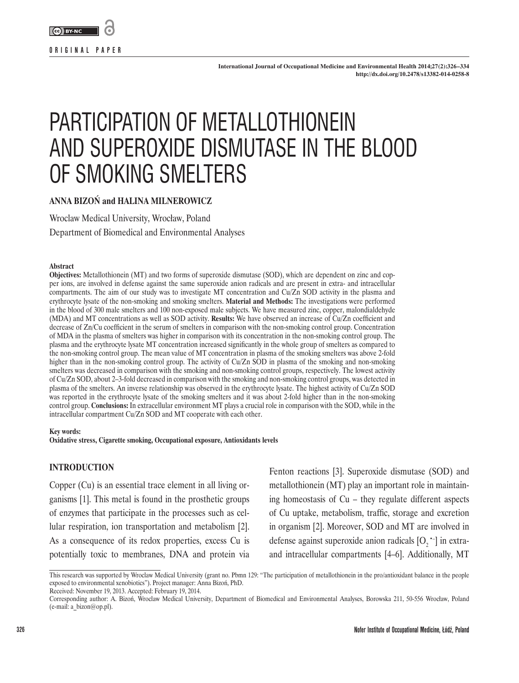

**International Journal of Occupational Medicine and Environmental Health 2014;27(2):326–334 <http://dx.doi.org/10.2478/s13382-014-0258-8>**

# PARTICIPATION OF METALLOTHIONEIN AND SUPEROXIDE DISMUTASE IN THE BLOOD OF SMOKING SMELTERS

# **ANNA BIZOŃ and HALINA MILNEROWICZ**

Wroclaw Medical University, Wrocław, Poland Department of Biomedical and Environmental Analyses

#### **Abstract**

**Objectives:** Metallothionein (MT) and two forms of superoxide dismutase (SOD), which are dependent on zinc and copper ions, are involved in defense against the same superoxide anion radicals and are present in extra- and intracellular compartments. The aim of our study was to investigate MT concentration and Cu/Zn SOD activity in the plasma and erythrocyte lysate of the non-smoking and smoking smelters. **Material and Methods:** The investigations were performed in the blood of 300 male smelters and 100 non-exposed male subjects. We have measured zinc, copper, malondialdehyde (MDA) and MT concentrations as well as SOD activity. **Results:** We have observed an increase of Cu/Zn coefficient and decrease of Zn/Cu coefficient in the serum of smelters in comparison with the non-smoking control group. Concentration of MDA in the plasma of smelters was higher in comparison with its concentration in the non-smoking control group. The plasma and the erythrocyte lysate MT concentration increased significantly in the whole group of smelters as compared to the non-smoking control group. The mean value of MT concentration in plasma of the smoking smelters was above 2-fold higher than in the non-smoking control group. The activity of Cu/Zn SOD in plasma of the smoking and non-smoking smelters was decreased in comparison with the smoking and non-smoking control groups, respectively. The lowest activity of Cu/Zn SOD, about 2–3-fold decreased in comparison with the smoking and non-smoking control groups, was detected in plasma of the smelters. An inverse relationship was observed in the erythrocyte lysate. The highest activity of Cu/Zn SOD was reported in the erythrocyte lysate of the smoking smelters and it was about 2-fold higher than in the non-smoking control group. **Conclusions:** In extracellular environment MT plays a crucial role in comparison with the SOD, while in the intracellular compartment Cu/Zn SOD and MT cooperate with each other.

#### **Key words:**

**Oxidative stress, Cigarette smoking, Occupational exposure, Antioxidants levels**

# **INTRODUCTION**

Copper (Cu) is an essential trace element in all living organisms [1]. This metal is found in the prosthetic groups of enzymes that participate in the processes such as cellular respiration, ion transportation and metabolism [2]. As a consequence of its redox properties, excess Cu is potentially toxic to membranes, DNA and protein via Fenton reactions [3]. Superoxide dismutase (SOD) and metallothionein (MT) play an important role in maintaining homeostasis of Cu – they regulate different aspects of Cu uptake, metabolism, traffic, storage and excretion in organism [2]. Moreover, SOD and MT are involved in defense against superoxide anion radicals  $[O_2$ <sup> $-$ </sup>] in extraand intracellular compartments [4–6]. Additionally, MT

Received: November 19, 2013. Accepted: February 19, 2014.

This research was supported by Wroclaw Medical University (grant no. Pbmn 129: "The participation of metallothionein in the pro/antioxidant balance in the people exposed to environmental xenobiotics"). Project manager: Anna Bizoń, PhD.

Corresponding author: A. Bizoń, Wroclaw Medical University, Department of Biomedical and Environmental Analyses, Borowska 211, 50-556 Wrocław, Poland (e-mail: a\_bizon@op.pl).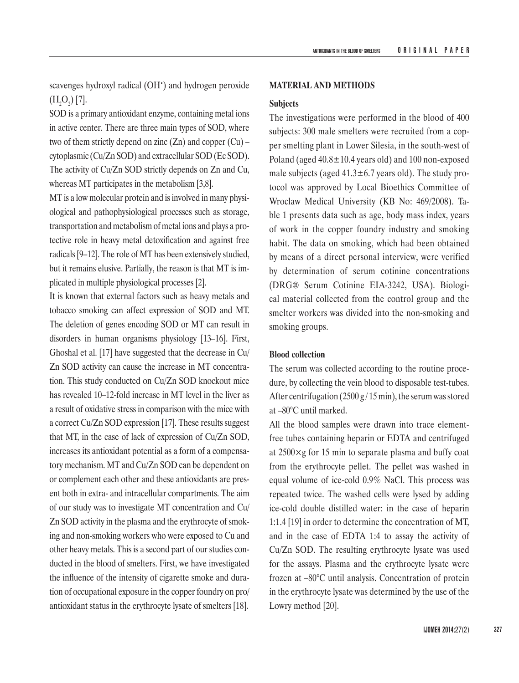scavenges hydroxyl radical (OH<sup>t</sup>) and hydrogen peroxide  $(H<sub>2</sub>O<sub>2</sub>)$  [7].

SOD is a primary antioxidant enzyme, containing metal ions in active center. There are three main types of SOD, where two of them strictly depend on zinc  $(Zn)$  and copper  $(Cu)$  – cytoplasmic (Cu/Zn SOD) and extracellular SOD (Ec SOD). The activity of Cu/Zn SOD strictly depends on Zn and Cu, whereas MT participates in the metabolism [3,8].

MT is a low molecular protein and is involved in many physiological and pathophysiological processes such as storage, transportation and metabolism of metal ions and plays a protective role in heavy metal detoxification and against free radicals [9–12]. The role of MT has been extensively studied, but it remains elusive. Partially, the reason is that MT is implicated in multiple physiological processes [2].

It is known that external factors such as heavy metals and tobacco smoking can affect expression of SOD and MT. The deletion of genes encoding SOD or MT can result in disorders in human organisms physiology [13–16]. First, Ghoshal et al. [17] have suggested that the decrease in Cu/ Zn SOD activity can cause the increase in MT concentration. This study conducted on Cu/Zn SOD knockout mice has revealed 10–12-fold increase in MT level in the liver as a result of oxidative stress in comparison with the mice with a correct Cu/Zn SOD expression [17]. These results suggest that MT, in the case of lack of expression of Cu/Zn SOD, increases its antioxidant potential as a form of a compensatory mechanism. MT and Cu/Zn SOD can be dependent on or complement each other and these antioxidants are present both in extra- and intracellular compartments. The aim of our study was to investigate MT concentration and Cu/ Zn SOD activity in the plasma and the erythrocyte of smoking and non-smoking workers who were exposed to Cu and other heavy metals. This is a second part of our studies conducted in the blood of smelters. First, we have investigated the influence of the intensity of cigarette smoke and duration of occupational exposure in the copper foundry on pro/ antioxidant status in the erythrocyte lysate of smelters [18].

## **MATERIAL AND METHODS**

#### **Subjects**

The investigations were performed in the blood of 400 subjects: 300 male smelters were recruited from a copper smelting plant in Lower Silesia, in the south-west of Poland (aged 40.8±10.4 years old) and 100 non-exposed male subjects (aged  $41.3 \pm 6.7$  years old). The study protocol was approved by Local Bioethics Committee of Wroclaw Medical University (KB No: 469/2008). Table 1 presents data such as age, body mass index, years of work in the copper foundry industry and smoking habit. The data on smoking, which had been obtained by means of a direct personal interview, were verified by determination of serum cotinine concentrations (DRG® Serum Cotinine EIA-3242, USA). Biological material collected from the control group and the smelter workers was divided into the non-smoking and smoking groups.

# **Blood collection**

The serum was collected according to the routine procedure, by collecting the vein blood to disposable test-tubes. After centrifugation  $(2500 \text{ g} / 15 \text{ min})$ , the serum was stored at –80°C until marked.

All the blood samples were drawn into trace elementfree tubes containing heparin or EDTA and centrifuged at  $2500 \times g$  for 15 min to separate plasma and buffy coat from the erythrocyte pellet. The pellet was washed in equal volume of ice-cold 0.9% NaCl. This process was repeated twice. The washed cells were lysed by adding ice-cold double distilled water: in the case of heparin 1:1.4 [19] in order to determine the concentration of MT, and in the case of EDTA 1:4 to assay the activity of Cu/Zn SOD. The resulting erythrocyte lysate was used for the assays. Plasma and the erythrocyte lysate were frozen at –80°C until analysis. Concentration of protein in the erythrocyte lysate was determined by the use of the Lowry method [20].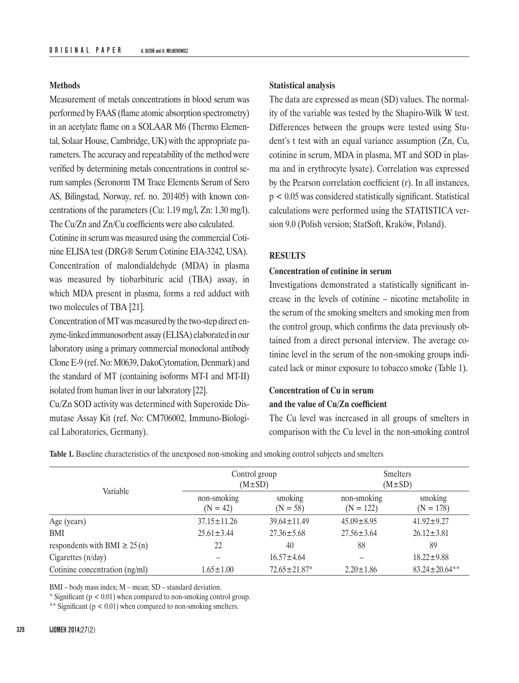# **Methods**

Measurement of metals concentrations in blood serum was performed by FAAS (flame atomic absorption spectrometry) in an acetylate flame on a SOLAAR M6 (Thermo Elemental, Solaar House, Cambridge, UK) with the appropriate parameters. The accuracy and repeatability of the method were verified by determining metals concentrations in control serum samples (Seronorm TM Trace Elements Serum of Sero AS, Bilingstad, Norway, ref. no. 201405) with known concentrations of the parameters (Cu: 1.19 mg/l, Zn: 1.30 mg/l). The Cu/Zn and Zn/Cu coefficients were also calculated.

Cotinine in serum was measured using the commercial Cotinine ELISA test (DRG® Serum Cotinine EIA-3242, USA). Concentration of malondialdehyde (MDA) in plasma was measured by tiobarbituric acid (TBA) assay, in which MDA present in plasma, forms a red adduct with two molecules of TBA [21].

Concentration of MT was measured by the two-step direct enzyme-linked immunosorbent assay (ELISA) elaborated in our laboratory using a primary commercial monoclonal antibody Clone E-9 (ref. No: M0639, DakoCytomation, Denmark) and the standard of MT (containing isoforms MT-I and MT-II) isolated from human liver in our laboratory [22].

Cu/Zn SOD activity was determined with Superoxide Dismutase Assay Kit (ref. No: CM706002, Immuno-Biological Laboratories, Germany).

## **Statistical analysis**

The data are expressed as mean (SD) values. The normality of the variable was tested by the Shapiro-Wilk W test. Differences between the groups were tested using Student's t test with an equal variance assumption (Zn, Cu, cotinine in serum, MDA in plasma, MT and SOD in plasma and in erythrocyte lysate). Correlation was expressed by the Pearson correlation coefficient (r). In all instances, p < 0.05 was considered statistically significant. Statistical calculations were performed using the STATISTICA version 9.0 (Polish version; StatSoft, Kraków, Poland).

## **RESULTS**

#### **Concentration of cotinine in serum**

Investigations demonstrated a statistically significant increase in the levels of cotinine – nicotine metabolite in the serum of the smoking smelters and smoking men from the control group, which confirms the data previously obtained from a direct personal interview. The average cotinine level in the serum of the non-smoking groups indicated lack or minor exposure to tobacco smoke (Table 1).

# **Concentration of Cu in serum**

#### **and the value of Cu/Zn coefficient**

The Cu level was increased in all groups of smelters in comparison with the Cu level in the non-smoking control

**Table 1.** Baseline characteristics of the unexposed non-smoking and smoking control subjects and smelters

|                                    | Control group<br>$(M \pm SD)$ |                       | Smelters<br>$(M \pm SD)$   |                        |
|------------------------------------|-------------------------------|-----------------------|----------------------------|------------------------|
| Variable                           | non-smoking<br>$(N = 42)$     | smoking<br>$(N = 58)$ | non-smoking<br>$(N = 122)$ | smoking<br>$(N = 178)$ |
| Age (years)                        | $37.15 \pm 11.26$             | $39.64 \pm 11.49$     | $45.09 \pm 8.95$           | $41.92 \pm 9.27$       |
| <b>BMI</b>                         | $25.61 \pm 3.44$              | $27.36 \pm 5.68$      | $27.56 \pm 3.64$           | $26.12 \pm 3.81$       |
| respondents with BMI $\geq 25$ (n) | 22                            | 40                    | 88                         | 89                     |
| Cigarettes (n/day)                 |                               | $16.57 \pm 4.64$      |                            | $18.22 \pm 9.88$       |
| Cotinine concentration (ng/ml)     | $1.65 \pm 1.00$               | $72.65 \pm 21.87*$    | $2.20 \pm 1.86$            | $83.24 \pm 20.64**$    |

BMI – body mass index; M – mean; SD – standard deviation.

\* Significant ( $p < 0.01$ ) when compared to non-smoking control group.

\*\* Significant ( $p < 0.01$ ) when compared to non-smoking smelters.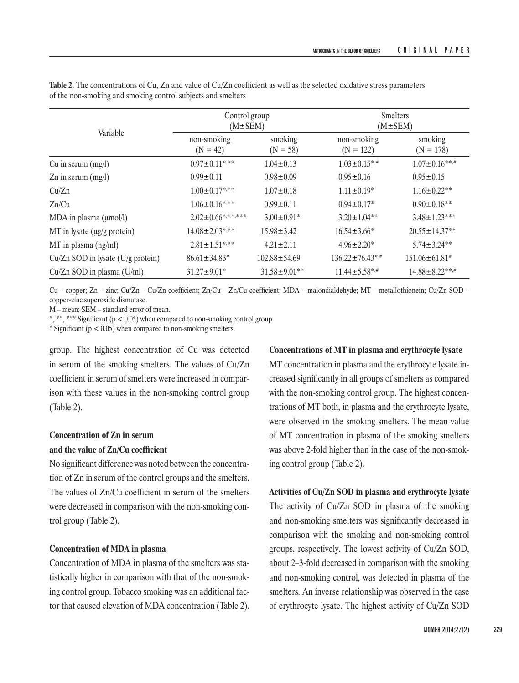| Variable                            | Control group<br>$(M \pm SEM)$ |                       | <b>Smelters</b><br>$(M \pm SEM)$ |                                 |
|-------------------------------------|--------------------------------|-----------------------|----------------------------------|---------------------------------|
|                                     | non-smoking<br>$(N = 42)$      | smoking<br>$(N = 58)$ | non-smoking<br>$(N = 122)$       | smoking<br>$(N = 178)$          |
| Cu in serum $(mg/l)$                | $0.97 \pm 0.11$ ***            | $1.04 \pm 0.13$       | $1.03 \pm 0.15$ *,#              | $1.07 \pm 0.16$ ***             |
| Zn in serum $(mg/l)$                | $0.99 \pm 0.11$                | $0.98 \pm 0.09$       | $0.95 \pm 0.16$                  | $0.95 \pm 0.15$                 |
| Cu/Zn                               | $1.00 \pm 0.17$ ***            | $1.07 \pm 0.18$       | $1.11 \pm 0.19*$                 | $1.16 \pm 0.22$ **              |
| Zn/Cu                               | $1.06 \pm 0.16$ ***            | $0.99 \pm 0.11$       | $0.94 \pm 0.17*$                 | $0.90 \pm 0.18**$               |
| $MDA$ in plasma ( $\mu$ mol/l)      | $2.02 \pm 0.66$ ******         | $3.00 \pm 0.91*$      | $3.20 \pm 1.04**$                | $3.48 \pm 1.23***$              |
| $MT$ in lysate ( $\mu$ g/g protein) | $14.08 \pm 2.03$ ***           | $15.98 \pm 3.42$      | $16.54 \pm 3.66^*$               | $20.55 \pm 14.37**$             |
| MT in plasma (ng/ml)                | $2.81 \pm 1.51$ ***            | $4.21 \pm 2.11$       | $4.96 \pm 2.20*$                 | $5.74 \pm 3.24$ **              |
| $Cu/Zn$ SOD in lysate (U/g protein) | $86.61 \pm 34.83*$             | $102.88 \pm 54.69$    | $136.22 \pm 76.43$ <sup>**</sup> | $151.06 \pm 61.81$ <sup>#</sup> |
| $Cu/Zn$ SOD in plasma $(U/ml)$      | $31.27 \pm 9.01*$              | $31.58 \pm 9.01**$    | $11.44 \pm 5.58$ <sup>*</sup>    | $14.88 \pm 8.22$ **.#           |

**Table 2.** The concentrations of Cu, Zn and value of Cu/Zn coefficient as well as the selected oxidative stress parameters of the non-smoking and smoking control subjects and smelters

Cu – copper; Zn – zinc; Cu/Zn – Cu/Zn coefficient; Zn/Cu – Zn/Cu coefficient; MDA – malondialdehyde; MT – metallothionein; Cu/Zn SOD – copper-zinc superoxide dismutase.

M – mean; SEM – standard error of mean.

\*, \*\*\* \*\*\* Significant ( $p < 0.05$ ) when compared to non-smoking control group.

 $*$  Significant ( $p < 0.05$ ) when compared to non-smoking smelters.

group. The highest concentration of Cu was detected in serum of the smoking smelters. The values of Cu/Zn coefficient in serum of smelters were increased in comparison with these values in the non-smoking control group (Table 2).

# **Concentration of Zn in serum**

# **and the value of Zn/Cu coefficient**

No significant difference was noted between the concentration of Zn in serum of the control groups and the smelters. The values of Zn/Cu coefficient in serum of the smelters were decreased in comparison with the non-smoking control group (Table 2).

# **Concentration of MDA in plasma**

Concentration of MDA in plasma of the smelters was statistically higher in comparison with that of the non-smoking control group. Tobacco smoking was an additional factor that caused elevation of MDA concentration (Table 2).

#### **Concentrations of MT in plasma and erythrocyte lysate**

MT concentration in plasma and the erythrocyte lysate increased significantly in all groups of smelters as compared with the non-smoking control group. The highest concentrations of MT both, in plasma and the erythrocyte lysate, were observed in the smoking smelters. The mean value of MT concentration in plasma of the smoking smelters was above 2-fold higher than in the case of the non-smoking control group (Table 2).

**Activities of Cu/Zn SOD in plasma and erythrocyte lysate**  The activity of Cu/Zn SOD in plasma of the smoking and non-smoking smelters was significantly decreased in comparison with the smoking and non-smoking control groups, respectively. The lowest activity of Cu/Zn SOD, about 2–3-fold decreased in comparison with the smoking and non-smoking control, was detected in plasma of the smelters. An inverse relationship was observed in the case of erythrocyte lysate. The highest activity of Cu/Zn SOD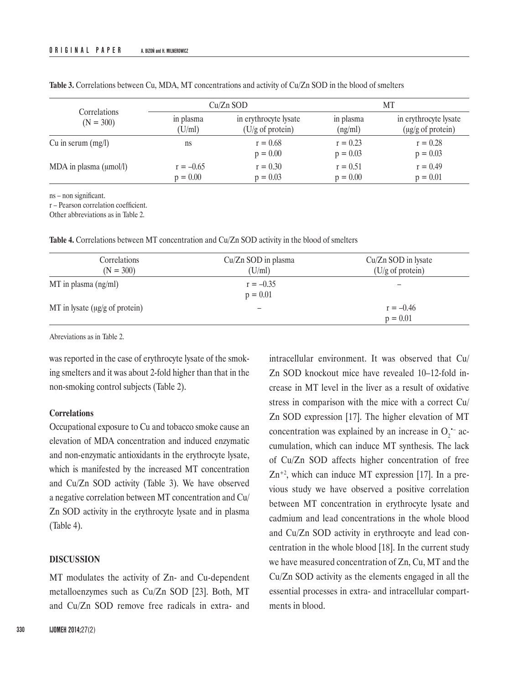| Correlations<br>$(N = 300)$    | $Cu/Zn$ SOD               |                                                     | МT                       |                                                         |
|--------------------------------|---------------------------|-----------------------------------------------------|--------------------------|---------------------------------------------------------|
|                                | in plasma<br>(U/ml)       | in erythrocyte lysate<br>$(U/g \text{ of protein})$ | in plasma<br>(ng/ml)     | in erythrocyte lysate<br>$(\mu g/g \text{ of protein})$ |
| Cu in serum $(mg/l)$           | ns                        | $r = 0.68$<br>$p = 0.00$                            | $r = 0.23$<br>$p = 0.03$ | $r = 0.28$<br>$p = 0.03$                                |
| $MDA$ in plasma ( $\mu$ mol/l) | $r = -0.65$<br>$p = 0.00$ | $r = 0.30$<br>$p = 0.03$                            | $r = 0.51$<br>$p = 0.00$ | $r = 0.49$<br>$p = 0.01$                                |

**Table 3.** Correlations between Cu, MDA, MT concentrations and activity of Cu/Zn SOD in the blood of smelters

ns – non significant.

r – Pearson correlation coefficient.

Other abbreviations as in Table 2.

**Table 4.** Correlations between MT concentration and Cu/Zn SOD activity in the blood of smelters

| Correlations<br>$(N = 300)$            | $Cu/Zn$ SOD in plasma<br>(U/ml) | $Cu/Zn$ SOD in lysate<br>$(U/g \text{ of protein})$ |
|----------------------------------------|---------------------------------|-----------------------------------------------------|
| $MT$ in plasma (ng/ml)                 | $r = -0.35$<br>$p = 0.01$       | -                                                   |
| $MT$ in lysate ( $\mu$ g/g of protein) | -                               | $r = -0.46$<br>$p = 0.01$                           |

Abreviations as in Table 2.

was reported in the case of erythrocyte lysate of the smoking smelters and it was about 2-fold higher than that in the non-smoking control subjects (Table 2).

#### **Correlations**

Occupational exposure to Cu and tobacco smoke cause an elevation of MDA concentration and induced enzymatic and non-enzymatic antioxidants in the erythrocyte lysate, which is manifested by the increased MT concentration and Cu/Zn SOD activity (Table 3). We have observed a negative correlation between MT concentration and Cu/ Zn SOD activity in the erythrocyte lysate and in plasma (Table 4).

# **DISCUSSION**

MT modulates the activity of Zn- and Cu-dependent metalloenzymes such as Cu/Zn SOD [23]. Both, MT and Cu/Zn SOD remove free radicals in extra- and intracellular environment. It was observed that Cu/ Zn SOD knockout mice have revealed 10–12-fold increase in MT level in the liver as a result of oxidative stress in comparison with the mice with a correct Cu/ Zn SOD expression [17]. The higher elevation of MT concentration was explained by an increase in  $O_2$ <sup>--</sup> accumulation, which can induce MT synthesis. The lack of Cu/Zn SOD affects higher concentration of free  $Zn^{+2}$ , which can induce MT expression [17]. In a previous study we have observed a positive correlation between MT concentration in erythrocyte lysate and cadmium and lead concentrations in the whole blood and Cu/Zn SOD activity in erythrocyte and lead concentration in the whole blood [18]. In the current study we have measured concentration of Zn, Cu, MT and the Cu/Zn SOD activity as the elements engaged in all the essential processes in extra- and intracellular compartments in blood.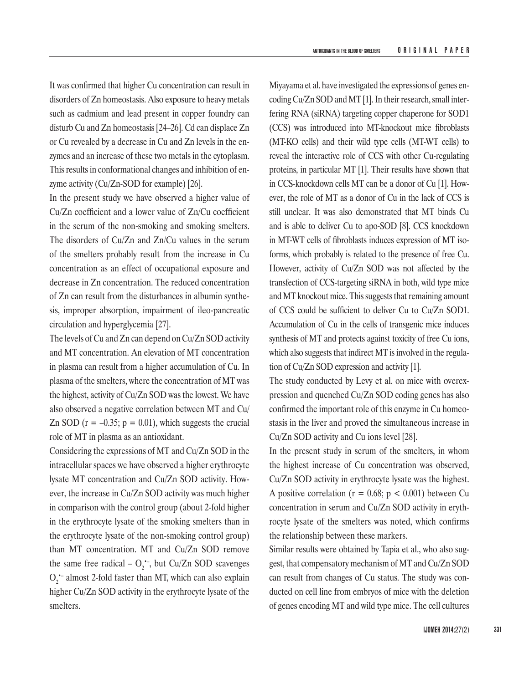It was confirmed that higher Cu concentration can result in disorders of Zn homeostasis. Also exposure to heavy metals such as cadmium and lead present in copper foundry can disturb Cu and Zn homeostasis [24–26]. Cd can displace Zn or Cu revealed by a decrease in Cu and Zn levels in the enzymes and an increase of these two metals in the cytoplasm. This results in conformational changes and inhibition of enzyme activity (Cu/Zn-SOD for example) [26].

In the present study we have observed a higher value of Cu/Zn coefficient and a lower value of Zn/Cu coefficient in the serum of the non-smoking and smoking smelters. The disorders of Cu/Zn and Zn/Cu values in the serum of the smelters probably result from the increase in Cu concentration as an effect of occupational exposure and decrease in Zn concentration. The reduced concentration of Zn can result from the disturbances in albumin synthesis, improper absorption, impairment of ileo-pancreatic circulation and hyperglycemia [27].

The levels of Cu and Zn can depend on Cu/Zn SOD activity and MT concentration. An elevation of MT concentration in plasma can result from a higher accumulation of Cu. In plasma of the smelters, where the concentration of MT was the highest, activity of Cu/Zn SOD was the lowest. We have also observed a negative correlation between MT and Cu/ Zn SOD ( $r = -0.35$ ;  $p = 0.01$ ), which suggests the crucial role of MT in plasma as an antioxidant.

Considering the expressions of MT and Cu/Zn SOD in the intracellular spaces we have observed a higher erythrocyte lysate MT concentration and Cu/Zn SOD activity. However, the increase in Cu/Zn SOD activity was much higher in comparison with the control group (about 2-fold higher in the erythrocyte lysate of the smoking smelters than in the erythrocyte lysate of the non-smoking control group) than MT concentration. MT and Cu/Zn SOD remove the same free radical –  $O_2^{\text{-}}$ , but Cu/Zn SOD scavenges  $O_2$ <sup>--</sup> almost 2-fold faster than MT, which can also explain higher Cu/Zn SOD activity in the erythrocyte lysate of the smelters.

Miyayama et al. have investigated the expressions of genes encoding Cu/Zn SOD and MT [1]. In their research, small interfering RNA (siRNA) targeting copper chaperone for SOD1 (CCS) was introduced into MT-knockout mice fibroblasts (MT-KO cells) and their wild type cells (MT-WT cells) to reveal the interactive role of CCS with other Cu-regulating proteins, in particular MT [1]. Their results have shown that in CCS-knockdown cells MT can be a donor of Cu [1]. However, the role of MT as a donor of Cu in the lack of CCS is still unclear. It was also demonstrated that MT binds Cu and is able to deliver Cu to apo-SOD [8]. CCS knockdown in MT-WT cells of fibroblasts induces expression of MT isoforms, which probably is related to the presence of free Cu. However, activity of Cu/Zn SOD was not affected by the transfection of CCS-targeting siRNA in both, wild type mice and MT knockout mice. This suggests that remaining amount of CCS could be sufficient to deliver Cu to Cu/Zn SOD1. Accumulation of Cu in the cells of transgenic mice induces synthesis of MT and protects against toxicity of free Cu ions, which also suggests that indirect MT is involved in the regulation of Cu/Zn SOD expression and activity [1].

The study conducted by Levy et al. on mice with overexpression and quenched Cu/Zn SOD coding genes has also confirmed the important role of this enzyme in Cu homeostasis in the liver and proved the simultaneous increase in Cu/Zn SOD activity and Cu ions level [28].

In the present study in serum of the smelters, in whom the highest increase of Cu concentration was observed, Cu/Zn SOD activity in erythrocyte lysate was the highest. A positive correlation ( $r = 0.68$ ;  $p < 0.001$ ) between Cu concentration in serum and Cu/Zn SOD activity in erythrocyte lysate of the smelters was noted, which confirms the relationship between these markers.

Similar results were obtained by Tapia et al., who also suggest, that compensatory mechanism of MT and Cu/Zn SOD can result from changes of Cu status. The study was conducted on cell line from embryos of mice with the deletion of genes encoding MT and wild type mice. The cell cultures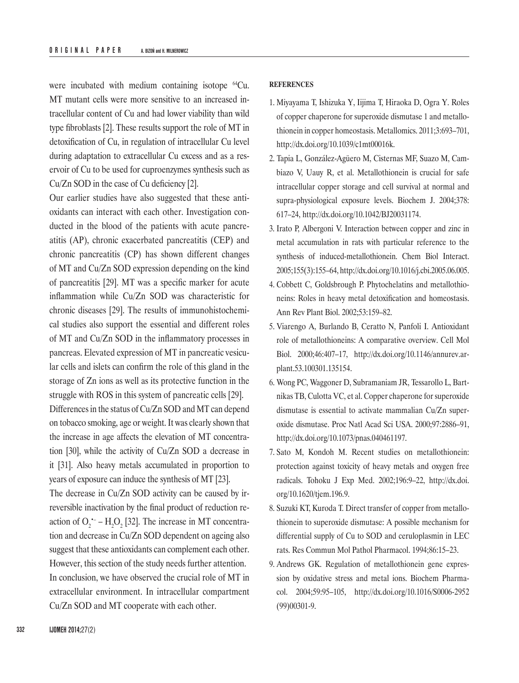were incubated with medium containing isotope <sup>64</sup>Cu. MT mutant cells were more sensitive to an increased intracellular content of Cu and had lower viability than wild type fibroblasts [2]. These results support the role of MT in detoxification of Cu, in regulation of intracellular Cu level during adaptation to extracellular Cu excess and as a reservoir of Cu to be used for cuproenzymes synthesis such as Cu/Zn SOD in the case of Cu deficiency [2].

Our earlier studies have also suggested that these antioxidants can interact with each other. Investigation conducted in the blood of the patients with acute pancreatitis (AP), chronic exacerbated pancreatitis (CEP) and chronic pancreatitis (CP) has shown different changes of MT and Cu/Zn SOD expression depending on the kind of pancreatitis [29]. MT was a specific marker for acute inflammation while Cu/Zn SOD was characteristic for chronic diseases [29]. The results of immunohistochemical studies also support the essential and different roles of MT and Cu/Zn SOD in the inflammatory processes in pancreas. Elevated expression of MT in pancreatic vesicular cells and islets can confirm the role of this gland in the storage of Zn ions as well as its protective function in the struggle with ROS in this system of pancreatic cells [29]. Differences in the status of Cu/Zn SOD and MT can depend on tobacco smoking, age or weight. It was clearly shown that the increase in age affects the elevation of MT concentration [30], while the activity of Cu/Zn SOD a decrease in it [31]. Also heavy metals accumulated in proportion to years of exposure can induce the synthesis of MT [23].

The decrease in Cu/Zn SOD activity can be caused by irreversible inactivation by the final product of reduction reaction of  $O_2$ <sup> $-$ </sup> –  $H_2O_2$  [32]. The increase in MT concentration and decrease in Cu/Zn SOD dependent on ageing also suggest that these antioxidants can complement each other. However, this section of the study needs further attention. In conclusion, we have observed the crucial role of MT in extracellular environment. In intracellular compartment Cu/Zn SOD and MT cooperate with each other.

# **REFERENCES**

- 1. Miyayama T, Ishizuka Y, Iijima T, Hiraoka D, Ogra Y. Roles of copper chaperone for superoxide dismutase 1 and metallothionein in copper homeostasis. Metallomics. 2011;3:693–701, <http://dx.doi.org/10.1039/c1mt00016k>.
- 2. Tapia L, González-Agüero M, Cisternas MF, Suazo M, Cambiazo V, Uauy R, et al. Metallothionein is crucial for safe intracellular copper storage and cell survival at normal and supra-physiological exposure levels. Biochem J. 2004;378: 617–24,<http://dx.doi.org/10.1042/BJ20031174>.
- 3. Irato P, Albergoni V. Interaction between copper and zinc in metal accumulation in rats with particular reference to the synthesis of induced-metallothionein. Chem Biol Interact. 2005;155(3):155–64,<http://dx.doi.org/10.1016/j.cbi.2005.06.005>.
- 4. Cobbett C, Goldsbrough P. Phytochelatins and metallothioneins: Roles in heavy metal detoxification and homeostasis. Ann Rev Plant Biol. 2002;53:159–82.
- 5. Viarengo A, Burlando B, Ceratto N, Panfoli I. Antioxidant role of metallothioneins: A comparative overview. Cell Mol Biol. 2000;46:407–17, [http://dx.doi.org/10.1146/annurev.ar](http://dx.doi.org/10.1146/annurev.arplant.53.100301.135154)[plant.53.100301.135154](http://dx.doi.org/10.1146/annurev.arplant.53.100301.135154).
- 6. Wong PC, Waggoner D, Subramaniam JR, Tessarollo L, Bartnikas TB, Culotta VC, et al. Copper chaperone for superoxide dismutase is essential to activate mammalian Cu/Zn superoxide dismutase. Proc Natl Acad Sci USA. 2000;97:2886–91, <http://dx.doi.org/10.1073/pnas.040461197>.
- 7. Sato M, Kondoh M. Recent studies on metallothionein: protection against toxicity of heavy metals and oxygen free radicals. Tohoku J Exp Med. 2002;196:9–22, [http://dx.doi.](http://dx.doi.org/10.1620/tjem.196.9) [org/10.1620/tjem.196.9](http://dx.doi.org/10.1620/tjem.196.9).
- 8. Suzuki KT, Kuroda T. Direct transfer of copper from metallothionein to superoxide dismutase: A possible mechanism for differential supply of Cu to SOD and ceruloplasmin in LEC rats. Res Commun Mol Pathol Pharmacol. 1994;86:15–23.
- 9. Andrews GK. Regulation of metallothionein gene expression by oxidative stress and metal ions. Biochem Pharmacol. 2004;59:95–105, [http://dx.doi.org/10.1016/S0006-2952](http://dx.doi.org/10.1016/S0006-2952(99)00301-9)  [\(99\)00301-9](http://dx.doi.org/10.1016/S0006-2952(99)00301-9).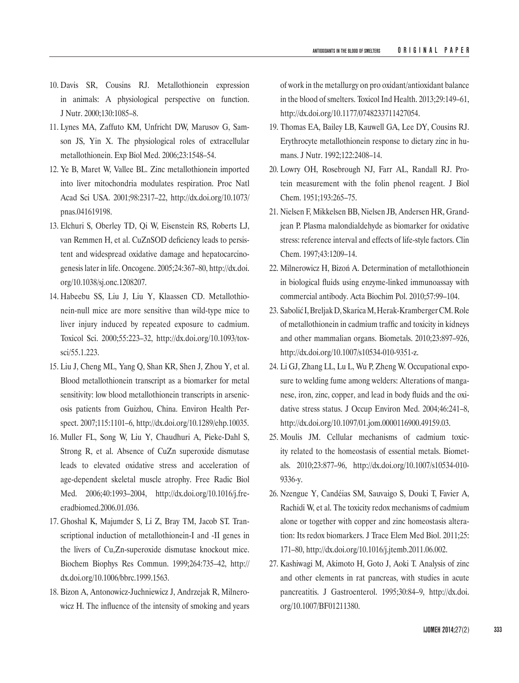- 10. Davis SR, Cousins RJ. Metallothionein expression in animals: A physiological perspective on function. J Nutr. 2000;130:1085–8.
- 11. Lynes MA, Zaffuto KM, Unfricht DW, Marusov G, Samson JS, Yin X. The physiological roles of extracellular metallothionein. Exp Biol Med. 2006;23:1548–54.
- 12. Ye B, Maret W, Vallee BL. Zinc metallothionein imported into liver mitochondria modulates respiration. Proc Natl Acad Sci USA. 2001;98:2317–22, [http://dx.doi.org/10.1073/](http://dx.doi.org/10.1073/pnas.041619198) [pnas.041619198](http://dx.doi.org/10.1073/pnas.041619198).
- 13. Elchuri S, Oberley TD, Qi W, Eisenstein RS, Roberts LJ, van Remmen H, et al. CuZnSOD deficiency leads to persistent and widespread oxidative damage and hepatocarcinogenesis later in life. Oncogene. 2005;24:367–80, [http://dx.doi.](http://dx.doi.org/10.1038/sj.onc.1208207) [org/10.1038/sj.onc.1208207](http://dx.doi.org/10.1038/sj.onc.1208207).
- 14. Habeebu SS, Liu J, Liu Y, Klaassen CD. Metallothionein-null mice are more sensitive than wild-type mice to liver injury induced by repeated exposure to cadmium. Toxicol Sci. 2000;55:223–32, [http://dx.doi.org/10.1093/tox](http://dx.doi.org/10.1093/toxsci/55.1.223)[sci/55.1.223](http://dx.doi.org/10.1093/toxsci/55.1.223).
- 15. Liu J, Cheng ML, Yang Q, Shan KR, Shen J, Zhou Y, et al. Blood metallothionein transcript as a biomarker for metal sensitivity: low blood metallothionein transcripts in arsenicosis patients from Guizhou, China. Environ Health Perspect. 2007;115:1101–6,<http://dx.doi.org/10.1289/ehp.10035>.
- 16. Muller FL, Song W, Liu Y, Chaudhuri A, Pieke-Dahl S, Strong R, et al. Absence of CuZn superoxide dismutase leads to elevated oxidative stress and acceleration of age-dependent skeletal muscle atrophy. Free Radic Biol Med. 2006;40:1993–2004, [http://dx.doi.org/10.1016/j.fre](http://dx.doi.org/10.1016/j.freeradbiomed.2006.01.036)[eradbiomed.2006.01.036](http://dx.doi.org/10.1016/j.freeradbiomed.2006.01.036).
- 17. Ghoshal K, Majumder S, Li Z, Bray TM, Jacob ST. Transcriptional induction of metallothionein-I and -II genes in the livers of Cu,Zn-superoxide dismutase knockout mice. Biochem Biophys Res Commun. 1999;264:735–42, [http://](http://dx.doi.org/10.1006/bbrc.1999.1563) [dx.doi.org/10.1006/bbrc.1999.1563](http://dx.doi.org/10.1006/bbrc.1999.1563).
- 18. Bizon A, Antonowicz-Juchniewicz J, Andrzejak R, Milnerowicz H. The influence of the intensity of smoking and years

of work in the metallurgy on pro oxidant/antioxidant balance in the blood of smelters. Toxicol Ind Health. 2013;29:149–61, <http://dx.doi.org/10.1177/0748233711427054>.

- 19. Thomas EA, Bailey LB, Kauwell GA, Lee DY, Cousins RJ. Erythrocyte metallothionein response to dietary zinc in humans. J Nutr. 1992;122:2408–14.
- 20. Lowry OH, Rosebrough NJ, Farr AL, Randall RJ. Protein measurement with the folin phenol reagent. J Biol Chem. 1951;193:265–75.
- 21. Nielsen F, Mikkelsen BB, Nielsen JB, Andersen HR, Grandjean P. Plasma malondialdehyde as biomarker for oxidative stress: reference interval and effects of life-style factors. Clin Chem. 1997;43:1209–14.
- 22. Milnerowicz H, Bizoń A. Determination of metallothionein in biological fluids using enzyme-linked immunoassay with commercial antibody. Acta Biochim Pol. 2010;57:99–104.
- 23. Sabolić I, Breljak D, Skarica M, Herak-Kramberger CM. Role of metallothionein in cadmium traffic and toxicity in kidneys and other mammalian organs. Biometals. 2010;23:897–926, <http://dx.doi.org/10.1007/s10534-010-9351-z>.
- 24. Li GJ, Zhang LL, Lu L, Wu P, Zheng W. Occupational exposure to welding fume among welders: Alterations of manganese, iron, zinc, copper, and lead in body fluids and the oxidative stress status. J Occup Environ Med. 2004;46:241–8, <http://dx.doi.org/10.1097/01.jom.0000116900.49159.03>.
- 25. Moulis JM. Cellular mechanisms of cadmium toxicity related to the homeostasis of essential metals. Biometals. 2010;23:877–96, [http://dx.doi.org/10.1007/s10534-010-](http://dx.doi.org/10.1007/s10534-010-9336-y) [9336-y](http://dx.doi.org/10.1007/s10534-010-9336-y).
- 26. Nzengue Y, Candéias SM, Sauvaigo S, Douki T, Favier A, Rachidi W, et al. The toxicity redox mechanisms of cadmium alone or together with copper and zinc homeostasis alteration: Its redox biomarkers. J Trace Elem Med Biol. 2011;25: 171–80,<http://dx.doi.org/10.1016/j.jtemb.2011.06.002>.
- 27. Kashiwagi M, Akimoto H, Goto J, Aoki T. Analysis of zinc and other elements in rat pancreas, with studies in acute pancreatitis. J Gastroenterol. 1995;30:84–9, [http://dx.doi.](http://dx.doi.org/10.1007/BF01211380) [org/10.1007/BF01211380](http://dx.doi.org/10.1007/BF01211380).